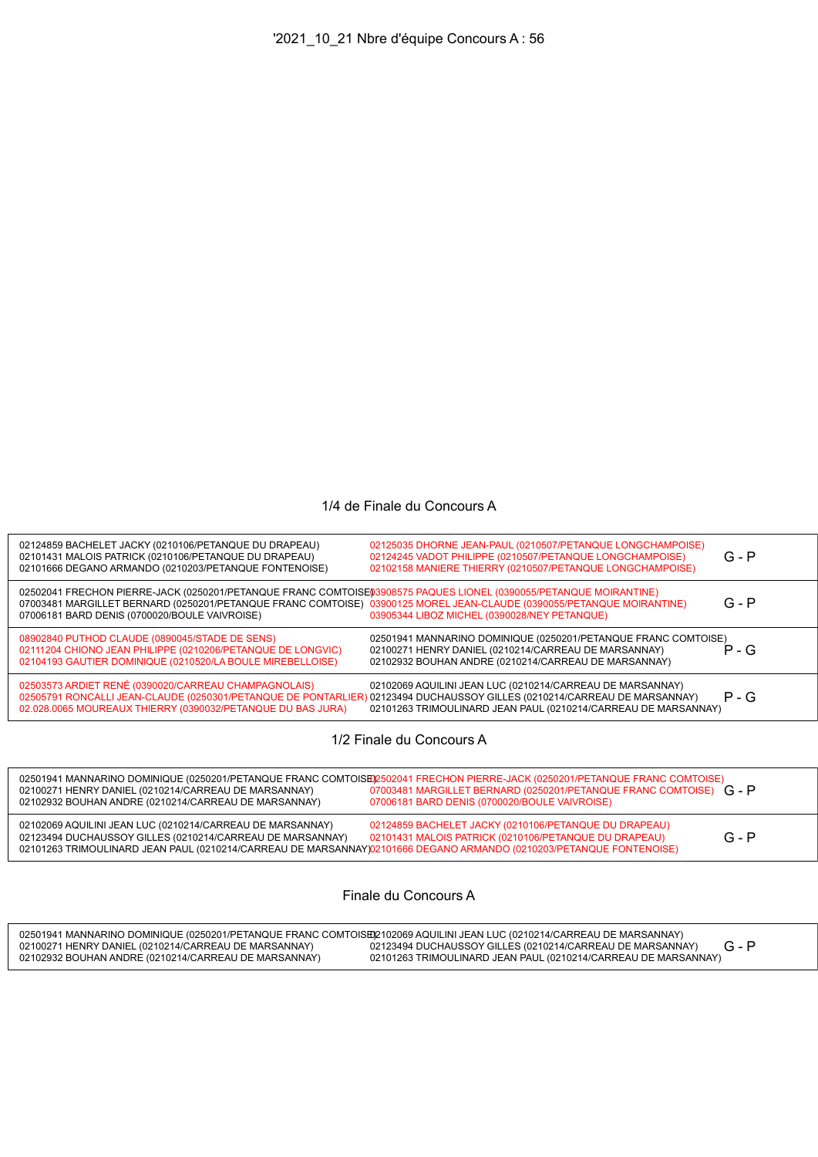## 1/4 de Finale du Concours A

| 02124859 BACHELET JACKY (0210106/PETANQUE DU DRAPEAU)<br>02101431 MALOIS PATRICK (0210106/PETANQUE DU DRAPEAU)<br>02101666 DEGANO ARMANDO (0210203/PETANQUE FONTENOISE)                                                                                                                     | 02125035 DHORNE JEAN-PAUL (0210507/PETANQUE LONGCHAMPOISE)<br>02124245 VADOT PHILIPPE (0210507/PETANQUE LONGCHAMPOISE)<br>02102158 MANIERE THIERRY (0210507/PETANQUE LONGCHAMPOISE) | $G - P$ |  |
|---------------------------------------------------------------------------------------------------------------------------------------------------------------------------------------------------------------------------------------------------------------------------------------------|-------------------------------------------------------------------------------------------------------------------------------------------------------------------------------------|---------|--|
| 02502041 FRECHON PIERRE-JACK (0250201/PETANQUE FRANC COMTOISE03908575 PAQUES LIONEL (0390055/PETANQUE MOIRANTINE)<br>07003481 MARGILLET BERNARD (0250201/PETANQUE FRANC COMTOISE) 03900125 MOREL JEAN-CLAUDE (0390055/PETANQUE MOIRANTINE)<br>07006181 BARD DENIS (0700020/BOULE VAIVROISE) | 03905344 LIBOZ MICHEL (0390028/NEY PETANQUE)                                                                                                                                        | $G - P$ |  |
| 08902840 PUTHOD CLAUDE (0890045/STADE DE SENS)<br>02111204 CHIONO JEAN PHILIPPE (0210206/PETANQUE DE LONGVIC)<br>02104193 GAUTIER DOMINIQUE (0210520/LA BOULE MIREBELLOISE)                                                                                                                 | 02501941 MANNARINO DOMINIQUE (0250201/PETANQUE FRANC COMTOISE)<br>02100271 HENRY DANIEL (0210214/CARREAU DE MARSANNAY)<br>02102932 BOUHAN ANDRE (0210214/CARREAU DE MARSANNAY)      | $P - G$ |  |
| 02503573 ARDIET RENÉ (0390020/CARREAU CHAMPAGNOLAIS)<br>02505791 RONCALLI JEAN-CLAUDE (0250301/PETANQUE DE PONTARLIER) 02123494 DUCHAUSSOY GILLES (0210214/CARREAU DE MARSANNAY)<br>02.028.0065 MOUREAUX THIERRY (0390032/PETANQUE DU BAS JURA)                                             | 02102069 AQUILINI JEAN LUC (0210214/CARREAU DE MARSANNAY)<br>02101263 TRIMOULINARD JEAN PAUL (0210214/CARREAU DE MARSANNAY)                                                         | $P - G$ |  |
|                                                                                                                                                                                                                                                                                             |                                                                                                                                                                                     |         |  |

1/2 Finale du Concours A

| 02100271 HENRY DANIEL (0210214/CARREAU DE MARSANNAY)<br>02102932 BOUHAN ANDRE (0210214/CARREAU DE MARSANNAY)                                                                                                                                  | 02501941 MANNARINO DOMINIQUE (0250201/PETANQUE FRANC COMTOISE)(2502041 FRECHON PIERRE-JACK (0250201/PETANQUE FRANC COMTOISE)<br>07003481 MARGILLET BERNARD (0250201/PETANQUE FRANC COMTOISE) G - P<br>07006181 BARD DENIS (0700020/BOULE VAIVROISE) |         |
|-----------------------------------------------------------------------------------------------------------------------------------------------------------------------------------------------------------------------------------------------|-----------------------------------------------------------------------------------------------------------------------------------------------------------------------------------------------------------------------------------------------------|---------|
| 02102069 AQUILINI JEAN LUC (0210214/CARREAU DE MARSANNAY)<br>02123494 DUCHAUSSOY GILLES (0210214/CARREAU DE MARSANNAY)<br>02101263 TRIMOULINARD JEAN PAUL (0210214/CARREAU DE MARSANNAY)02101666 DEGANO ARMANDO (0210203/PETANQUE FONTENOISE) | 02124859 BACHELET JACKY (0210106/PETANQUE DU DRAPEAU)<br>02101431 MALOIS PATRICK (0210106/PETANQUE DU DRAPEAU)                                                                                                                                      | $G - P$ |

Finale du Concours A

| 02501941 MANNARINO DOMINIQUE (0250201/PETANQUE FRANC COMTOISE02102069 AQUILINI JEAN LUC (0210214/CARREAU DE MARSANNAY) |                                                                |         |
|------------------------------------------------------------------------------------------------------------------------|----------------------------------------------------------------|---------|
| 02100271 HENRY DANIEL (0210214/CARREAU DE MARSANNAY)                                                                   | 02123494 DUCHAUSSOY GILLES (0210214/CARREAU DE MARSANNAY)      | $G - P$ |
| 02102932 BOUHAN ANDRE (0210214/CARREAU DE MARSANNAY)                                                                   | 02101263 TRIMOULINARD JEAN PAUL (0210214/CARREAU DE MARSANNAY) |         |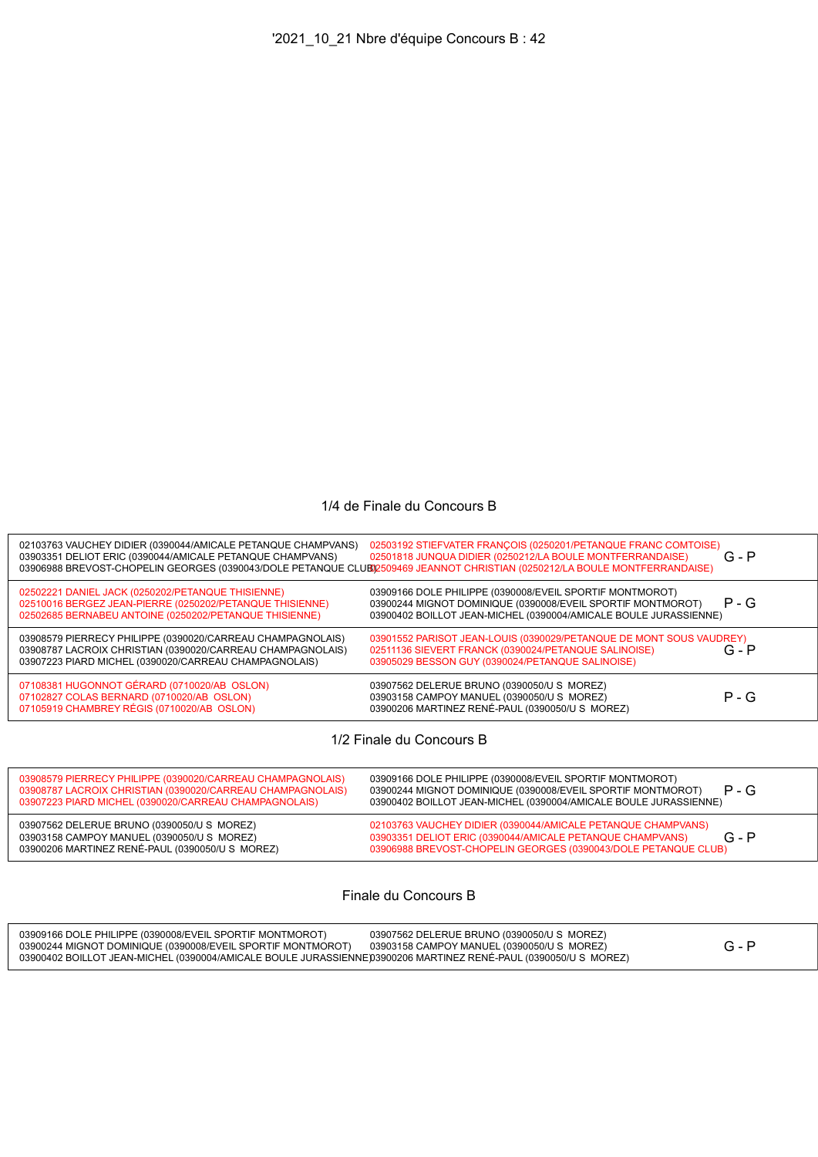## 1/4 de Finale du Concours B

| 02103763 VAUCHEY DIDIER (0390044/AMICALE PETANQUE CHAMPVANS)<br>03903351 DELIOT ERIC (0390044/AMICALE PETANQUE CHAMPVANS)                                                         | 02503192 STIEFVATER FRANÇOIS (0250201/PETANQUE FRANC COMTOISE)<br>02501818 JUNQUA DIDIER (0250212/LA BOULE MONTFERRANDAISE)<br>03906988 BREVOST-CHOPELIN GEORGES (0390043/DOLE PETANQUE CLUB02509469 JEANNOT CHRISTIAN (0250212/LA BOULE MONTFERRANDAISE) | $G - P$ |
|-----------------------------------------------------------------------------------------------------------------------------------------------------------------------------------|-----------------------------------------------------------------------------------------------------------------------------------------------------------------------------------------------------------------------------------------------------------|---------|
| 02502221 DANIEL JACK (0250202/PETANQUE THISIENNE)<br>02510016 BERGEZ JEAN-PIERRE (0250202/PETANQUE THISIENNE)<br>02502685 BERNABEU ANTOINE (0250202/PETANQUE THISIENNE)           | 03909166 DOLE PHILIPPE (0390008/EVEIL SPORTIF MONTMOROT)<br>03900244 MIGNOT DOMINIQUE (0390008/EVEIL SPORTIF MONTMOROT)<br>03900402 BOILLOT JEAN-MICHEL (0390004/AMICALE BOULE JURASSIENNE)                                                               | $P - G$ |
| 03908579 PIERRECY PHILIPPE (0390020/CARREAU CHAMPAGNOLAIS)<br>03908787 LACROIX CHRISTIAN (0390020/CARREAU CHAMPAGNOLAIS)<br>03907223 PIARD MICHEL (0390020/CARREAU CHAMPAGNOLAIS) | 03901552 PARISOT JEAN-LOUIS (0390029/PETANQUE DE MONT SOUS VAUDREY)<br>02511136 SIEVERT FRANCK (0390024/PETANQUE SALINOISE)<br>03905029 BESSON GUY (0390024/PETANQUE SALINOISE)                                                                           | $G - P$ |
| 07108381 HUGONNOT GÉRARD (0710020/AB OSLON)<br>07102827 COLAS BERNARD (0710020/AB OSLON)<br>07105919 CHAMBREY RÉGIS (0710020/AB OSLON)                                            | 03907562 DELERUE BRUNO (0390050/U S MOREZ)<br>03903158 CAMPOY MANUEL (0390050/U S MOREZ)<br>03900206 MARTINEZ RENÉ-PAUL (0390050/U S MOREZ)                                                                                                               | $P - G$ |
|                                                                                                                                                                                   |                                                                                                                                                                                                                                                           |         |

1/2 Finale du Concours B

| 03908579 PIERRECY PHILIPPE (0390020/CARREAU CHAMPAGNOLAIS)<br>03908787 LACROIX CHRISTIAN (0390020/CARREAU CHAMPAGNOLAIS)<br>03907223 PIARD MICHEL (0390020/CARREAU CHAMPAGNOLAIS) | 03909166 DOLE PHILIPPE (0390008/EVEIL SPORTIF MONTMOROT)<br>$P - G$<br>03900244 MIGNOT DOMINIQUE (0390008/EVEIL SPORTIF MONTMOROT)<br>03900402 BOILLOT JEAN-MICHEL (0390004/AMICALE BOULE JURASSIENNE) |
|-----------------------------------------------------------------------------------------------------------------------------------------------------------------------------------|--------------------------------------------------------------------------------------------------------------------------------------------------------------------------------------------------------|
| 03907562 DELERUE BRUNO (0390050/U S MOREZ)<br>03903158 CAMPOY MANUEL (0390050/U S MOREZ)<br>03900206 MARTINEZ RENÉ-PAUL (0390050/U S MOREZ)                                       | 02103763 VAUCHEY DIDIER (0390044/AMICALE PETANQUE CHAMPVANS)<br>$G - P$<br>03903351 DELIOT ERIC (0390044/AMICALE PETANQUE CHAMPVANS)<br>03906988 BREVOST-CHOPELIN GEORGES (0390043/DOLE PETANQUE CLUB) |

Finale du Concours B

| 03909166 DOLE PHILIPPE (0390008/EVEIL SPORTIF MONTMOROT)<br>03900244 MIGNOT DOMINIQUE (0390008/EVEIL SPORTIF MONTMOROT) | 03907562 DELERUE BRUNO (0390050/U S MOREZ)<br>03903158 CAMPOY MANUEL (0390050/U S MOREZ) |  |
|-------------------------------------------------------------------------------------------------------------------------|------------------------------------------------------------------------------------------|--|
| 03900402 BOILLOT JEAN-MICHEL (0390004/AMICALE BOULE JURASSIENNE)03900206 MARTINEZ RENÉ-PAUL (0390050/U S_MOREZ          |                                                                                          |  |